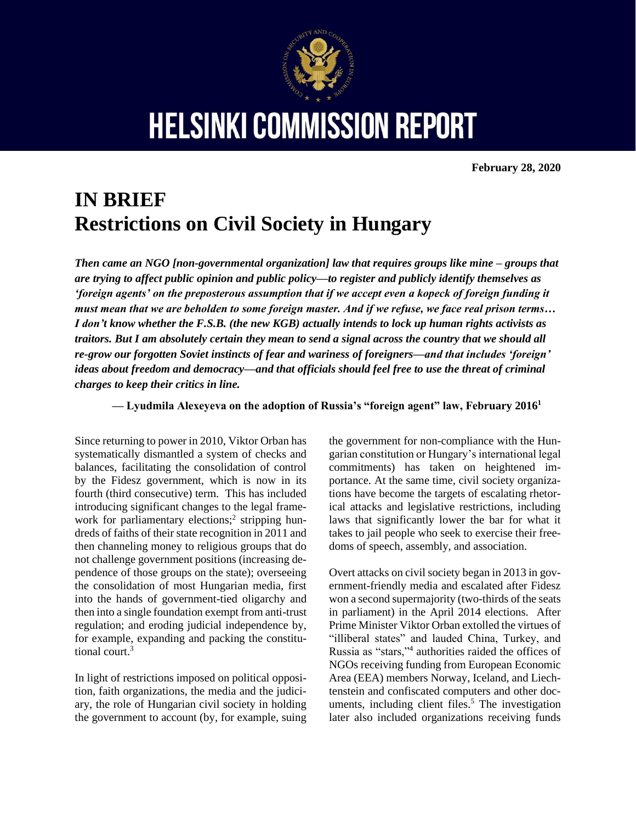

**HELSINKI COMMISSION REPORT** 

**February 28, 2020**

# **IN BRIEF Restrictions on Civil Society in Hungary**

*Then came an NGO [non-governmental organization] law that requires groups like mine – groups that are trying to affect public opinion and public policy—to register and publicly identify themselves as 'foreign agents' on the preposterous assumption that if we accept even a kopeck of foreign funding it must mean that we are beholden to some foreign master. And if we refuse, we face real prison terms… I don't know whether the F.S.B. (the new KGB) actually intends to lock up human rights activists as traitors. But I am absolutely certain they mean to send a signal across the country that we should all re-grow our forgotten Soviet instincts of fear and wariness of foreigners—and that includes 'foreign' ideas about freedom and democracy—and that officials should feel free to use the threat of criminal charges to keep their critics in line.*

**— Lyudmila Alexeyeva on the adoption of Russia's "foreign agent" law, February 2016<sup>1</sup>**

Since returning to power in 2010, Viktor Orban has systematically dismantled a system of checks and balances, facilitating the consolidation of control by the Fidesz government, which is now in its fourth (third consecutive) term. This has included introducing significant changes to the legal framework for parliamentary elections;<sup>2</sup> stripping hundreds of faiths of their state recognition in 2011 and then channeling money to religious groups that do not challenge government positions (increasing dependence of those groups on the state); overseeing the consolidation of most Hungarian media, first into the hands of government-tied oligarchy and then into a single foundation exempt from anti-trust regulation; and eroding judicial independence by, for example, expanding and packing the constitutional court.<sup>3</sup>

In light of restrictions imposed on political opposition, faith organizations, the media and the judiciary, the role of Hungarian civil society in holding the government to account (by, for example, suing the government for non-compliance with the Hungarian constitution or Hungary's international legal commitments) has taken on heightened importance. At the same time, civil society organizations have become the targets of escalating rhetorical attacks and legislative restrictions, including laws that significantly lower the bar for what it takes to jail people who seek to exercise their freedoms of speech, assembly, and association.

Overt attacks on civil society began in 2013 in government-friendly media and escalated after Fidesz won a second supermajority (two-thirds of the seats in parliament) in the April 2014 elections. After Prime Minister Viktor Orban extolled the virtues of "illiberal states" and lauded China, Turkey, and Russia as "stars,"<sup>4</sup> authorities raided the offices of NGOs receiving funding from European Economic Area (EEA) members Norway, Iceland, and Liechtenstein and confiscated computers and other documents, including client files.<sup>5</sup> The investigation later also included organizations receiving funds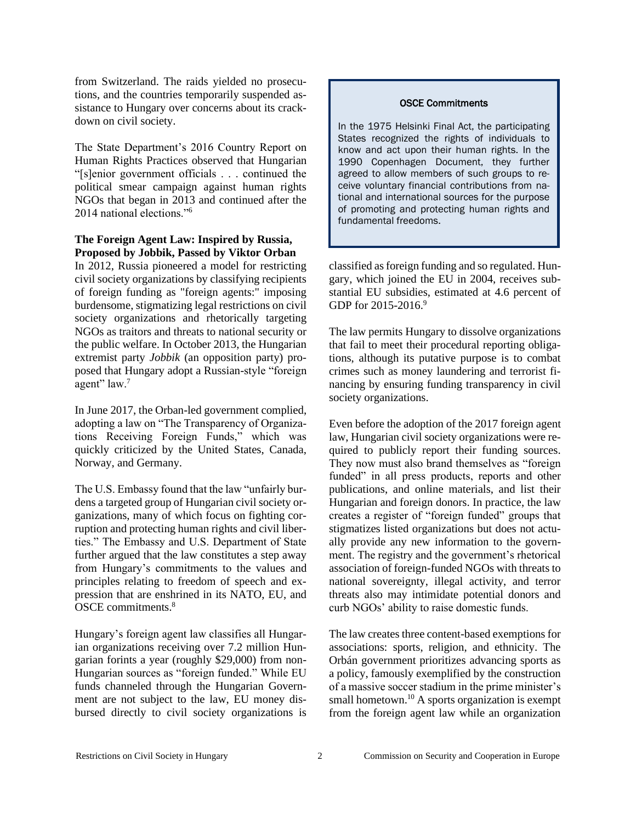from Switzerland. The raids yielded no prosecutions, and the countries temporarily suspended assistance to Hungary over concerns about its crackdown on civil society.

The State Department's 2016 Country Report on Human Rights Practices observed that Hungarian "[s]enior government officials . . . continued the political smear campaign against human rights NGOs that began in 2013 and continued after the 2014 national elections."<sup>6</sup>

#### **The Foreign Agent Law: Inspired by Russia, Proposed by Jobbik, Passed by Viktor Orban**

In 2012, Russia pioneered a model for restricting civil society organizations by classifying recipients of foreign funding as "foreign agents:" imposing burdensome, stigmatizing legal restrictions on civil society organizations and rhetorically targeting NGOs as traitors and threats to national security or the public welfare. In October 2013, the Hungarian extremist party *Jobbik* (an opposition party) proposed that Hungary adopt a Russian-style "foreign agent" law.<sup>7</sup>

In June 2017, the Orban-led government complied, adopting a law on "The Transparency of Organizations Receiving Foreign Funds," which was quickly criticized by the United States, Canada, Norway, and Germany.

The U.S. Embassy found that the law "unfairly burdens a targeted group of Hungarian civil society organizations, many of which focus on fighting corruption and protecting human rights and civil liberties." The Embassy and U.S. Department of State further argued that the law constitutes a step away from Hungary's commitments to the values and principles relating to freedom of speech and expression that are enshrined in its NATO, EU, and OSCE commitments.<sup>8</sup>

Hungary's foreign agent law classifies all Hungarian organizations receiving over 7.2 million Hungarian forints a year (roughly \$29,000) from non-Hungarian sources as "foreign funded." While EU funds channeled through the Hungarian Government are not subject to the law, EU money disbursed directly to civil society organizations is

#### OSCE Commitments

In the 1975 Helsinki Final Act, the participating States recognized the rights of individuals to know and act upon their human rights. In the 1990 Copenhagen Document, they further agreed to allow members of such groups to receive voluntary financial contributions from national and international sources for the purpose of promoting and protecting human rights and fundamental freedoms.

classified as foreign funding and so regulated. Hungary, which joined the EU in 2004, receives substantial EU subsidies, estimated at 4.6 percent of GDP for 2015-2016.<sup>9</sup>

The law permits Hungary to dissolve organizations that fail to meet their procedural reporting obligations, although its putative purpose is to combat crimes such as money laundering and terrorist financing by ensuring funding transparency in civil society organizations.

Even before the adoption of the 2017 foreign agent law, Hungarian civil society organizations were required to publicly report their funding sources. They now must also brand themselves as "foreign funded" in all press products, reports and other publications, and online materials, and list their Hungarian and foreign donors. In practice, the law creates a register of "foreign funded" groups that stigmatizes listed organizations but does not actually provide any new information to the government. The registry and the government's rhetorical association of foreign-funded NGOs with threats to national sovereignty, illegal activity, and terror threats also may intimidate potential donors and curb NGOs' ability to raise domestic funds.

The law creates three content-based exemptions for associations: sports, religion, and ethnicity. The Orbán government prioritizes advancing sports as a policy, famously exemplified by the construction of a massive soccer stadium in the prime minister's small hometown.<sup>10</sup> A sports organization is exempt from the foreign agent law while an organization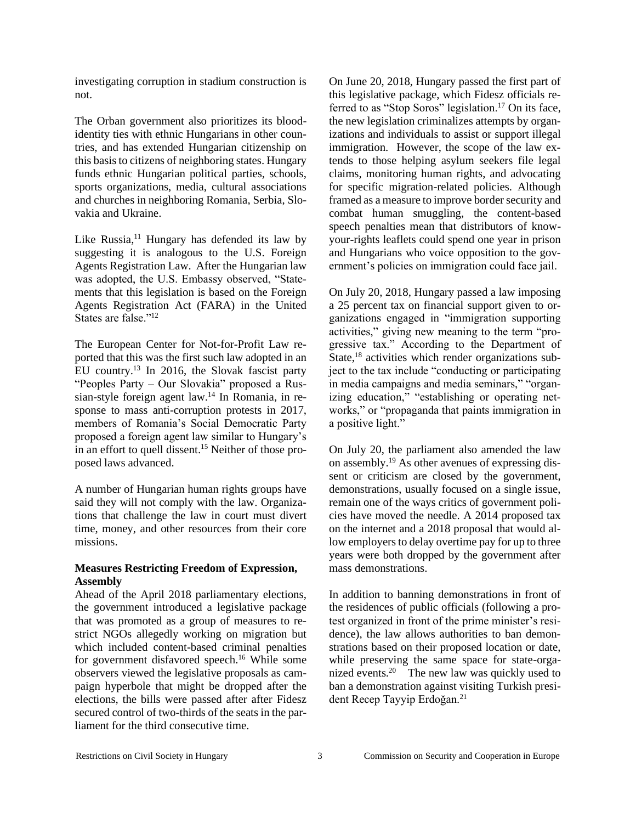investigating corruption in stadium construction is not.

The Orban government also prioritizes its bloodidentity ties with ethnic Hungarians in other countries, and has extended Hungarian citizenship on this basis to citizens of neighboring states. Hungary funds ethnic Hungarian political parties, schools, sports organizations, media, cultural associations and churches in neighboring Romania, Serbia, Slovakia and Ukraine.

Like Russia, $11$  Hungary has defended its law by suggesting it is analogous to the U.S. Foreign Agents Registration Law. After the Hungarian law was adopted, the U.S. Embassy observed, "Statements that this legislation is based on the Foreign Agents Registration Act (FARA) in the United States are false."<sup>12</sup>

The European Center for Not-for-Profit Law reported that this was the first such law adopted in an EU country.<sup>13</sup> In 2016, the Slovak fascist party "Peoples Party – Our Slovakia" proposed a Russian-style foreign agent law.<sup>14</sup> In Romania, in response to mass anti-corruption protests in 2017, members of Romania's Social Democratic Party proposed a foreign agent law similar to Hungary's in an effort to quell dissent.<sup>15</sup> Neither of those proposed laws advanced.

A number of Hungarian human rights groups have said they will not comply with the law. Organizations that challenge the law in court must divert time, money, and other resources from their core missions.

#### **Measures Restricting Freedom of Expression, Assembly**

Ahead of the April 2018 parliamentary elections, the government introduced a legislative package that was promoted as a group of measures to restrict NGOs allegedly working on migration but which included content-based criminal penalties for government disfavored speech.<sup>16</sup> While some observers viewed the legislative proposals as campaign hyperbole that might be dropped after the elections, the bills were passed after after Fidesz secured control of two-thirds of the seats in the parliament for the third consecutive time.

On June 20, 2018, Hungary passed the first part of this legislative package, which Fidesz officials referred to as "Stop Soros" legislation.<sup>17</sup> On its face, the new legislation criminalizes attempts by organizations and individuals to assist or support illegal immigration. However, the scope of the law extends to those helping asylum seekers file legal claims, monitoring human rights, and advocating for specific migration-related policies. Although framed as a measure to improve border security and combat human smuggling, the content-based speech penalties mean that distributors of knowyour-rights leaflets could spend one year in prison and Hungarians who voice opposition to the government's policies on immigration could face jail.

On July 20, 2018, Hungary passed a law imposing a 25 percent tax on financial support given to organizations engaged in "immigration supporting activities," giving new meaning to the term "progressive tax." According to the Department of State,<sup>18</sup> activities which render organizations subject to the tax include "conducting or participating in media campaigns and media seminars," "organizing education," "establishing or operating networks," or "propaganda that paints immigration in a positive light."

On July 20, the parliament also amended the law on assembly.<sup>19</sup> As other avenues of expressing dissent or criticism are closed by the government, demonstrations, usually focused on a single issue, remain one of the ways critics of government policies have moved the needle. A 2014 proposed tax on the internet and a 2018 proposal that would allow employers to delay overtime pay for up to three years were both dropped by the government after mass demonstrations.

In addition to banning demonstrations in front of the residences of public officials (following a protest organized in front of the prime minister's residence), the law allows authorities to ban demonstrations based on their proposed location or date, while preserving the same space for state-organized events.<sup>20</sup> The new law was quickly used to ban a demonstration against visiting Turkish president Recep Tayyip Erdoğan.<sup>21</sup>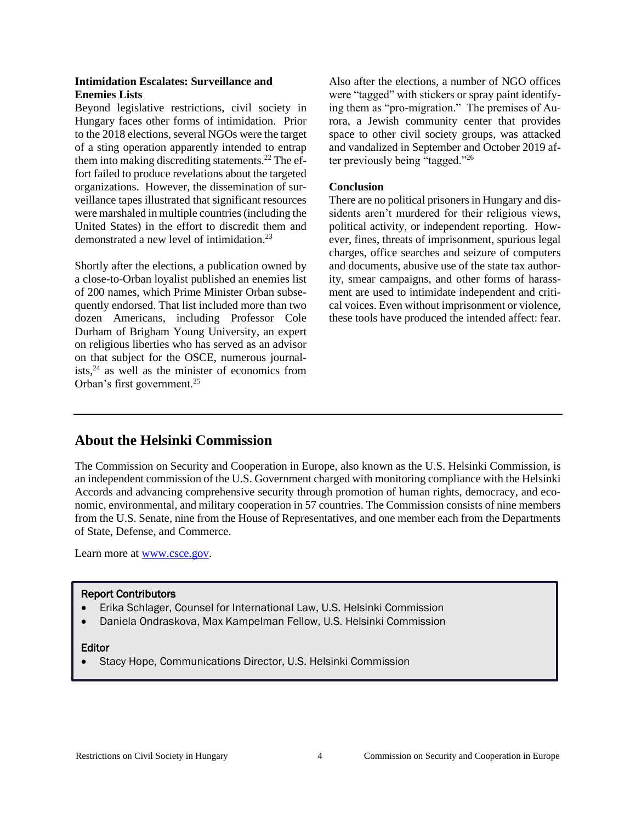#### **Intimidation Escalates: Surveillance and Enemies Lists**

Beyond legislative restrictions, civil society in Hungary faces other forms of intimidation. Prior to the 2018 elections, several NGOs were the target of a sting operation apparently intended to entrap them into making discrediting statements.<sup>22</sup> The effort failed to produce revelations about the targeted organizations. However, the dissemination of surveillance tapes illustrated that significant resources were marshaled in multiple countries (including the United States) in the effort to discredit them and demonstrated a new level of intimidation.<sup>23</sup>

Shortly after the elections, a publication owned by a close-to-Orban loyalist published an enemies list of 200 names, which Prime Minister Orban subsequently endorsed. That list included more than two dozen Americans, including Professor Cole Durham of Brigham Young University, an expert on religious liberties who has served as an advisor on that subject for the OSCE, numerous journalists, $24$  as well as the minister of economics from Orban's first government.<sup>25</sup>

Also after the elections, a number of NGO offices were "tagged" with stickers or spray paint identifying them as "pro-migration." The premises of Aurora, a Jewish community center that provides space to other civil society groups, was attacked and vandalized in September and October 2019 after previously being "tagged."<sup>26</sup>

#### **Conclusion**

There are no political prisoners in Hungary and dissidents aren't murdered for their religious views, political activity, or independent reporting. However, fines, threats of imprisonment, spurious legal charges, office searches and seizure of computers and documents, abusive use of the state tax authority, smear campaigns, and other forms of harassment are used to intimidate independent and critical voices. Even without imprisonment or violence, these tools have produced the intended affect: fear.

## **About the Helsinki Commission**

The Commission on Security and Cooperation in Europe, also known as the U.S. Helsinki Commission, is an independent commission of the U.S. Government charged with monitoring compliance with the Helsinki Accords and advancing comprehensive security through promotion of human rights, democracy, and economic, environmental, and military cooperation in 57 countries. The Commission consists of nine members from the U.S. Senate, nine from the House of Representatives, and one member each from the Departments of State, Defense, and Commerce.

Learn more at [www.csce.gov.](http://www.csce.gov/)

#### Report Contributors

- Erika Schlager, Counsel for International Law, U.S. Helsinki Commission
- Daniela Ondraskova, Max Kampelman Fellow, U.S. Helsinki Commission

### Editor

• Stacy Hope, Communications Director, U.S. Helsinki Commission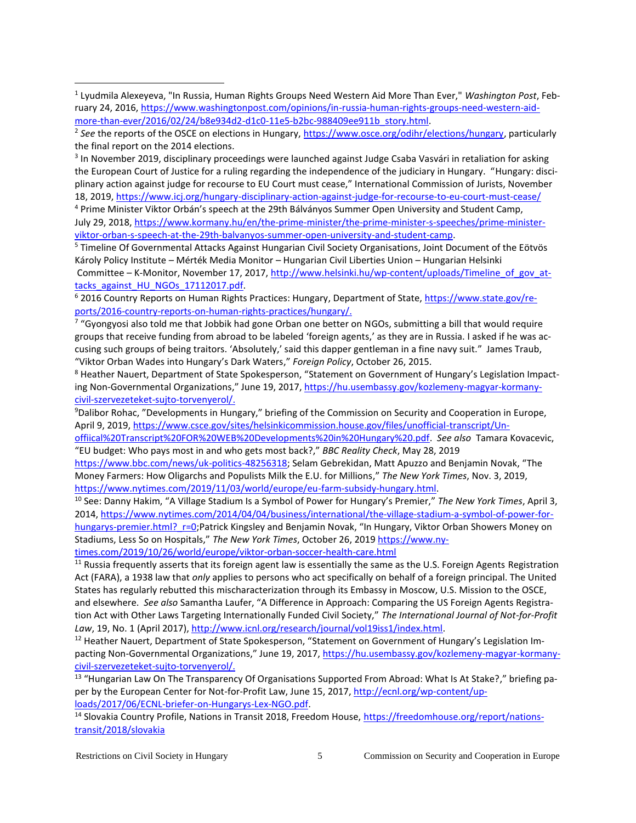<sup>3</sup> In November 2019, disciplinary proceedings were launched against Judge Csaba Vasvári in retaliation for asking the European Court of Justice for a ruling regarding the independence of the judiciary in Hungary. "Hungary: disciplinary action against judge for recourse to EU Court must cease," International Commission of Jurists, November 18, 2019,<https://www.icj.org/hungary-disciplinary-action-against-judge-for-recourse-to-eu-court-must-cease/>

<sup>4</sup> Prime Minister Viktor Orbán's speech at the 29th Bálványos Summer Open University and Student Camp, July 29, 2018[, https://www.kormany.hu/en/the-prime-minister/the-prime-minister-s-speeches/prime-minister](https://www.kormany.hu/en/the-prime-minister/the-prime-minister-s-speeches/prime-minister-viktor-orban-s-speech-at-the-29th-balvanyos-summer-open-university-and-student-camp)[viktor-orban-s-speech-at-the-29th-balvanyos-summer-open-university-and-student-camp.](https://www.kormany.hu/en/the-prime-minister/the-prime-minister-s-speeches/prime-minister-viktor-orban-s-speech-at-the-29th-balvanyos-summer-open-university-and-student-camp)

<sup>5</sup> Timeline Of Governmental Attacks Against Hungarian Civil Society Organisations, Joint Document of the Eötvös Károly Policy Institute – Mérték Media Monitor – Hungarian Civil Liberties Union – Hungarian Helsinki Committee – K-Monitor, November 17, 2017, [http://www.helsinki.hu/wp-content/uploads/Timeline\\_of\\_gov\\_at](http://www.helsinki.hu/wp-content/uploads/Timeline_of_gov_attacks_against_HU_NGOs_17112017.pdf)tacks against HU\_NGOs\_17112017.pdf.

<sup>6</sup> 2016 Country Reports on Human Rights Practices: Hungary, Department of State, [https://www.state.gov/re](https://www.state.gov/reports/2016-country-reports-on-human-rights-practices/hungary/)[ports/2016-country-reports-on-human-rights-practices/hungary/.](https://www.state.gov/reports/2016-country-reports-on-human-rights-practices/hungary/)

 $^7$  "Gyongyosi also told me that Jobbik had gone Orban one better on NGOs, submitting a bill that would require groups that receive funding from abroad to be labeled 'foreign agents,' as they are in Russia. I asked if he was accusing such groups of being traitors. 'Absolutely,' said this dapper gentleman in a fine navy suit." James Traub, "Viktor Orban Wades into Hungary's Dark Waters," *Foreign Policy*, October 26, 2015.

<sup>8</sup> Heather Nauert, Department of State Spokesperson, "Statement on Government of Hungary's Legislation Impact‐ ing Non-Governmental Organizations," June 19, 2017, [https://hu.usembassy.gov/kozlemeny-magyar-kormany](https://hu.usembassy.gov/kozlemeny-magyar-kormany-civil-szervezeteket-sujto-torvenyerol/)[civil-szervezeteket-sujto-torvenyerol/.](https://hu.usembassy.gov/kozlemeny-magyar-kormany-civil-szervezeteket-sujto-torvenyerol/)

<sup>9</sup>Dalibor Rohac, "Developments in Hungary," briefing of the Commission on Security and Cooperation in Europe, April 9, 2019, [https://www.csce.gov/sites/helsinkicommission.house.gov/files/unofficial-transcript/Un-](https://www.csce.gov/sites/helsinkicommission.house.gov/files/unofficial-transcript/Unoffiical%20Transcript%20FOR%20WEB%20Developments%20in%20Hungary%20.pdf)

[offiical%20Transcript%20FOR%20WEB%20Developments%20in%20Hungary%20.pdf.](https://www.csce.gov/sites/helsinkicommission.house.gov/files/unofficial-transcript/Unoffiical%20Transcript%20FOR%20WEB%20Developments%20in%20Hungary%20.pdf) *See also* Tamara Kovacevic, "EU budget: Who pays most in and who gets most back?," *BBC Reality Check*, May 28, 2019

<https://www.bbc.com/news/uk-politics-48256318>; Selam Gebrekidan, Matt Apuzzo and Benjamin Novak, "The Money Farmers: How Oligarchs and Populists Milk the E.U. for Millions," *The New York Times*, Nov. 3, 2019, [https://www.nytimes.com/2019/11/03/world/europe/eu-farm-subsidy-hungary.html.](https://www.nytimes.com/2019/11/03/world/europe/eu-farm-subsidy-hungary.html)

<sup>10</sup> See: Danny Hakim, "A Village Stadium Is a Symbol of Power for Hungary's Premier," *The New York Times*, April 3, 2014, [https://www.nytimes.com/2014/04/04/business/international/the-village-stadium-a-symbol-of-power-for](https://www.nytimes.com/2014/04/04/business/international/the-village-stadium-a-symbol-of-power-for-hungarys-premier.html?_r=0)hungarys-premier.html? r=0;Patrick Kingsley and Benjamin Novak, "In Hungary, Viktor Orban Showers Money on Stadiums, Less So on Hospitals," *The New York Times*, October 26, 2019 [https://www.ny-](https://www.nytimes.com/2019/10/26/world/europe/viktor-orban-soccer-health-care.html)

[times.com/2019/10/26/world/europe/viktor-orban-soccer-health-care.html](https://www.nytimes.com/2019/10/26/world/europe/viktor-orban-soccer-health-care.html)

<sup>11</sup> Russia frequently asserts that its foreign agent law is essentially the same as the U.S. Foreign Agents Registration Act (FARA), a 1938 law that *only* applies to persons who act specifically on behalf of a foreign principal. The United States has regularly rebutted this mischaracterization through its Embassy in Moscow, U.S. Mission to the OSCE, and elsewhere. *See also* Samantha Laufer, "A Difference in Approach: Comparing the US Foreign Agents Registra‐ tion Act with Other Laws Targeting Internationally Funded Civil Society," *The International Journal of Not-for-Profit Law*, 19, No. 1 (April 2017), [http://www.icnl.org/research/journal/vol19iss1/index.html.](http://www.icnl.org/research/journal/vol19iss1/index.html) 

<sup>12</sup> Heather Nauert, Department of State Spokesperson, "Statement on Government of Hungary's Legislation Impacting Non-Governmental Organizations," June 19, 2017, [https://hu.usembassy.gov/kozlemeny-magyar-kormany](https://hu.usembassy.gov/kozlemeny-magyar-kormany-civil-szervezeteket-sujto-torvenyerol/)[civil-szervezeteket-sujto-torvenyerol/.](https://hu.usembassy.gov/kozlemeny-magyar-kormany-civil-szervezeteket-sujto-torvenyerol/)

<sup>13</sup> "Hungarian Law On The Transparency Of Organisations Supported From Abroad: What Is At Stake?," briefing pa-per by the European Center for Not-for-Profit Law, June 15, 2017[, http://ecnl.org/wp-content/up](http://ecnl.org/wp-content/uploads/2017/06/ECNL-briefer-on-Hungarys-Lex-NGO.pdf)[loads/2017/06/ECNL-briefer-on-Hungarys-Lex-NGO.pdf.](http://ecnl.org/wp-content/uploads/2017/06/ECNL-briefer-on-Hungarys-Lex-NGO.pdf)

<sup>14</sup> Slovakia Country Profile, Nations in Transit 2018, Freedom House, [https://freedomhouse.org/report/nations](https://freedomhouse.org/report/nations-transit/2018/slovakia)[transit/2018/slovakia](https://freedomhouse.org/report/nations-transit/2018/slovakia) 

<sup>1</sup> Lyudmila Alexeyeva, "In Russia, Human Rights Groups Need Western Aid More Than Ever," *Washington Post*, February 24, 2016[, https://www.washingtonpost.com/opinions/in-russia-human-rights-groups-need-western-aid](https://www.washingtonpost.com/opinions/in-russia-human-rights-groups-need-western-aid-more-than-ever/2016/02/24/b8e934d2-d1c0-11e5-b2bc-988409ee911b_story.html)[more-than-ever/2016/02/24/b8e934d2-d1c0-11e5-b2bc-988409ee911b\\_story.html.](https://www.washingtonpost.com/opinions/in-russia-human-rights-groups-need-western-aid-more-than-ever/2016/02/24/b8e934d2-d1c0-11e5-b2bc-988409ee911b_story.html)

<sup>2</sup> *See* the reports of the OSCE on elections in Hungary, [https://www.osce.org/odihr/elections/hungary,](https://www.osce.org/odihr/elections/hungary) particularly the final report on the 2014 elections.